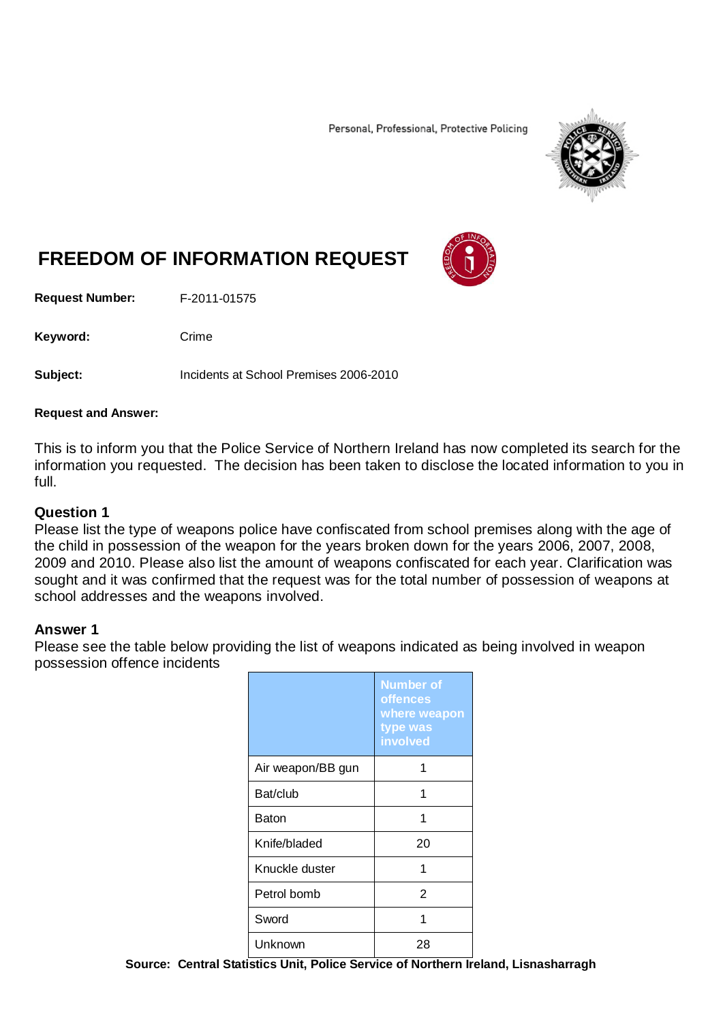Personal, Professional, Protective Policing



# **FREEDOM OF INFORMATION REQUEST**

**Request Number:** F-2011-01575

Keyword: Crime

**Subject:** Incidents at School Premises 2006-2010

## **Request and Answer:**

This is to inform you that the Police Service of Northern Ireland has now completed its search for the information you requested. The decision has been taken to disclose the located information to you in full.

## **Question 1**

Please list the type of weapons police have confiscated from school premises along with the age of the child in possession of the weapon for the years broken down for the years 2006, 2007, 2008, 2009 and 2010. Please also list the amount of weapons confiscated for each year. Clarification was sought and it was confirmed that the request was for the total number of possession of weapons at school addresses and the weapons involved.

# **Answer 1**

Please see the table below providing the list of weapons indicated as being involved in weapon possession offence incidents

|                   | <b>Number of</b><br>offences<br>where weapon<br>type was<br>involved |
|-------------------|----------------------------------------------------------------------|
| Air weapon/BB gun | 1                                                                    |
| Bat/club          | 1                                                                    |
| Baton             | 1                                                                    |
| Knife/bladed      | 20                                                                   |
| Knuckle duster    | 1                                                                    |
| Petrol bomb       | 2                                                                    |
| Sword             | 1                                                                    |
| Unknown           | 28                                                                   |

**Source: Central Statistics Unit, Police Service of Northern Ireland, Lisnasharragh**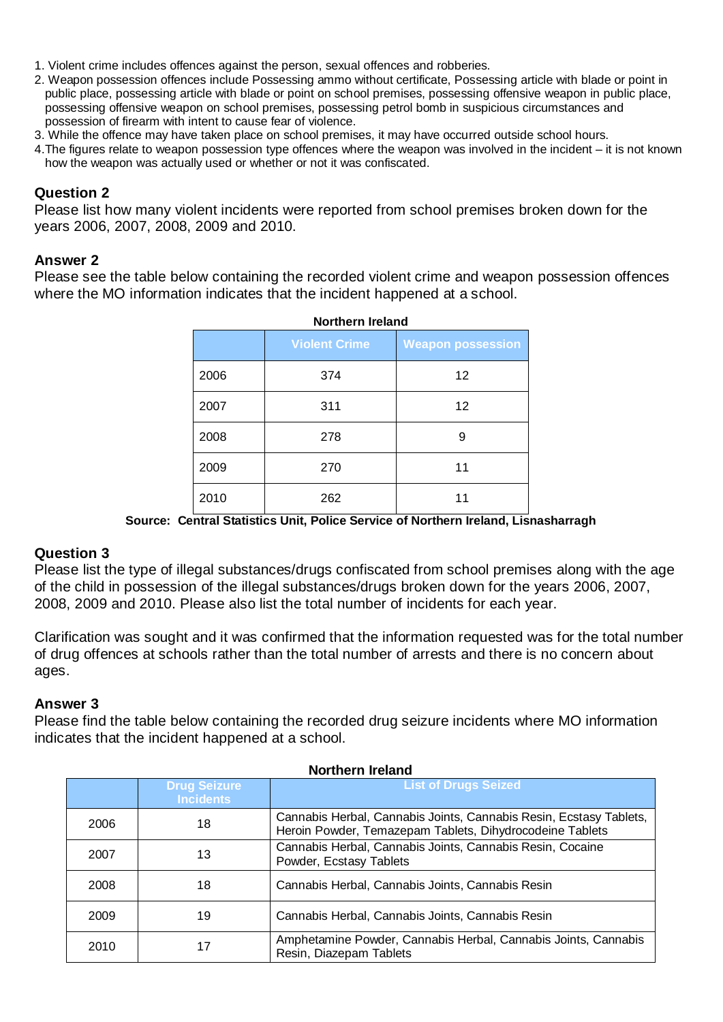- 1. Violent crime includes offences against the person, sexual offences and robberies.
- 2. Weapon possession offences include Possessing ammo without certificate, Possessing article with blade or point in public place, possessing article with blade or point on school premises, possessing offensive weapon in public place, possessing offensive weapon on school premises, possessing petrol bomb in suspicious circumstances and possession of firearm with intent to cause fear of violence.
- 3. While the offence may have taken place on school premises, it may have occurred outside school hours.
- 4.The figures relate to weapon possession type offences where the weapon was involved in the incident it is not known how the weapon was actually used or whether or not it was confiscated.

# **Question 2**

Please list how many violent incidents were reported from school premises broken down for the years 2006, 2007, 2008, 2009 and 2010.

## **Answer 2**

Please see the table below containing the recorded violent crime and weapon possession offences where the MO information indicates that the incident happened at a school.

| <b>Northern Ireland</b> |                      |                          |  |
|-------------------------|----------------------|--------------------------|--|
|                         | <b>Violent Crime</b> | <b>Weapon possession</b> |  |
| 2006                    | 374                  | 12                       |  |
| 2007                    | 311                  | 12                       |  |
| 2008                    | 278                  | 9                        |  |
| 2009                    | 270                  | 11                       |  |
| 2010                    | 262                  | 11                       |  |

**Source: Central Statistics Unit, Police Service of Northern Ireland, Lisnasharragh**

# **Question 3**

Please list the type of illegal substances/drugs confiscated from school premises along with the age of the child in possession of the illegal substances/drugs broken down for the years 2006, 2007, 2008, 2009 and 2010. Please also list the total number of incidents for each year.

Clarification was sought and it was confirmed that the information requested was for the total number of drug offences at schools rather than the total number of arrests and there is no concern about ages.

# **Answer 3**

Please find the table below containing the recorded drug seizure incidents where MO information indicates that the incident happened at a school.

| ногиспы асана |                                         |                                                                                                                                |
|---------------|-----------------------------------------|--------------------------------------------------------------------------------------------------------------------------------|
|               | <b>Drug Seizure</b><br><b>Incidents</b> | <b>List of Drugs Seized</b>                                                                                                    |
| 2006          | 18                                      | Cannabis Herbal, Cannabis Joints, Cannabis Resin, Ecstasy Tablets,<br>Heroin Powder, Temazepam Tablets, Dihydrocodeine Tablets |
| 2007          | 13                                      | Cannabis Herbal, Cannabis Joints, Cannabis Resin, Cocaine<br>Powder, Ecstasy Tablets                                           |
| 2008          | 18                                      | Cannabis Herbal, Cannabis Joints, Cannabis Resin                                                                               |
| 2009          | 19                                      | Cannabis Herbal, Cannabis Joints, Cannabis Resin                                                                               |
| 2010          | 17                                      | Amphetamine Powder, Cannabis Herbal, Cannabis Joints, Cannabis<br>Resin, Diazepam Tablets                                      |

## **Northern Ireland**